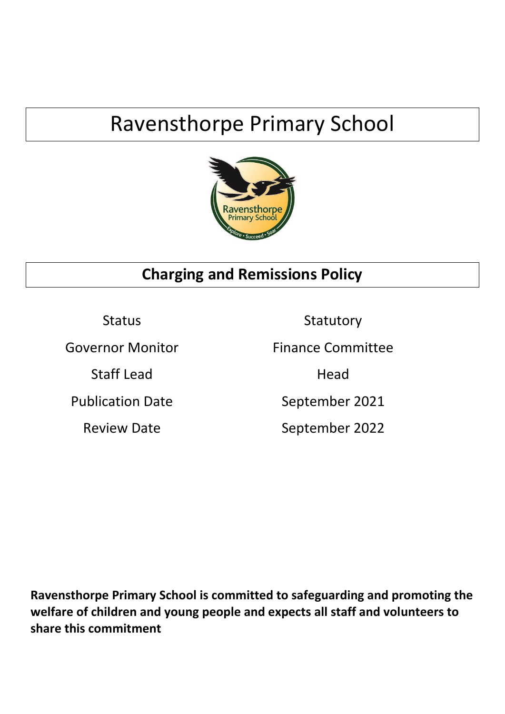# Ravensthorpe Primary School



# **Charging and Remissions Policy**

Review Date September 2022

Status Statutory Governor Monitor **Finance Committee** Staff Lead Head Publication Date September 2021

**Ravensthorpe Primary School is committed to safeguarding and promoting the welfare of children and young people and expects all staff and volunteers to share this commitment**